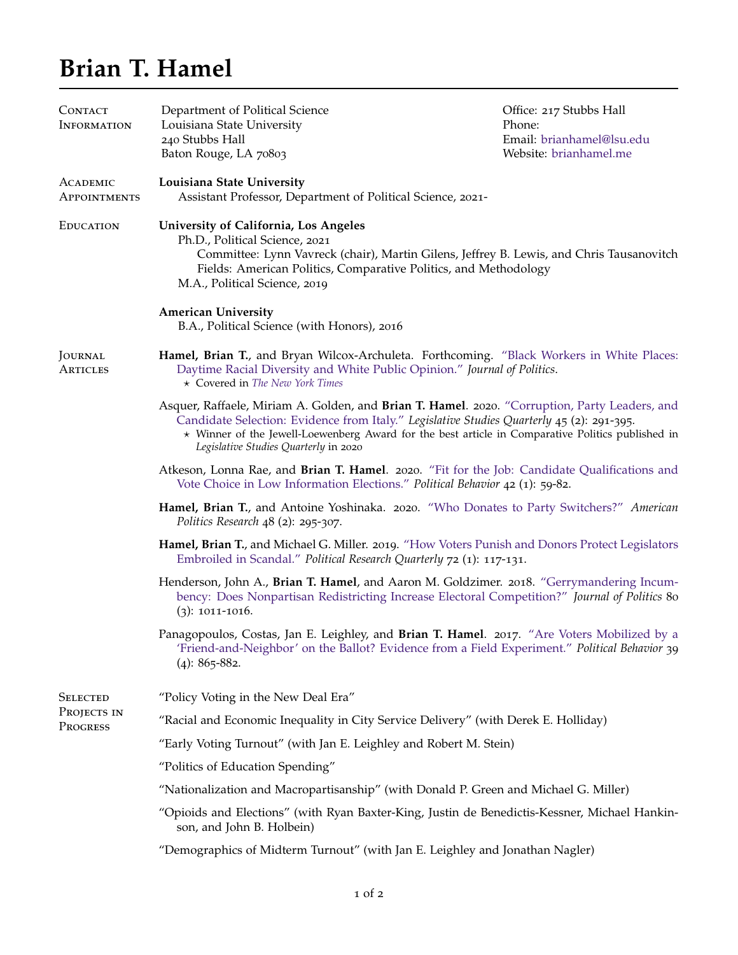## **Brian T. Hamel**

| CONTACT<br><b>INFORMATION</b>              | Department of Political Science<br>Louisiana State University<br>240 Stubbs Hall<br>Baton Rouge, LA 70803                                                                                                                                                                                                                                | Office: 217 Stubbs Hall<br>Phone:<br>Email: brianhamel@lsu.edu<br>Website: brianhamel.me |  |
|--------------------------------------------|------------------------------------------------------------------------------------------------------------------------------------------------------------------------------------------------------------------------------------------------------------------------------------------------------------------------------------------|------------------------------------------------------------------------------------------|--|
| ACADEMIC<br><b>APPOINTMENTS</b>            | Louisiana State University<br>Assistant Professor, Department of Political Science, 2021-                                                                                                                                                                                                                                                |                                                                                          |  |
| <b>EDUCATION</b>                           | University of California, Los Angeles<br>Ph.D., Political Science, 2021<br>Committee: Lynn Vavreck (chair), Martin Gilens, Jeffrey B. Lewis, and Chris Tausanovitch<br>Fields: American Politics, Comparative Politics, and Methodology<br>M.A., Political Science, 2019                                                                 |                                                                                          |  |
|                                            | <b>American University</b><br>B.A., Political Science (with Honors), 2016                                                                                                                                                                                                                                                                |                                                                                          |  |
| JOURNAL<br><b>ARTICLES</b>                 | Hamel, Brian T., and Bryan Wilcox-Archuleta. Forthcoming. "Black Workers in White Places:<br>Daytime Racial Diversity and White Public Opinion." Journal of Politics.<br>* Covered in The New York Times                                                                                                                                 |                                                                                          |  |
|                                            | Asquer, Raffaele, Miriam A. Golden, and Brian T. Hamel. 2020. "Corruption, Party Leaders, and<br>Candidate Selection: Evidence from Italy." Legislative Studies Quarterly 45 (2): 291-395.<br>* Winner of the Jewell-Loewenberg Award for the best article in Comparative Politics published in<br>Legislative Studies Quarterly in 2020 |                                                                                          |  |
|                                            | Atkeson, Lonna Rae, and Brian T. Hamel. 2020. "Fit for the Job: Candidate Qualifications and<br>Vote Choice in Low Information Elections." Political Behavior 42 (1): 59-82.                                                                                                                                                             |                                                                                          |  |
|                                            | Hamel, Brian T., and Antoine Yoshinaka. 2020. "Who Donates to Party Switchers?" American<br><i>Politics Research</i> $48$ (2): 295-307.                                                                                                                                                                                                  |                                                                                          |  |
|                                            | Hamel, Brian T., and Michael G. Miller. 2019. "How Voters Punish and Donors Protect Legislators<br>Embroiled in Scandal." Political Research Quarterly 72 (1): 117-131.                                                                                                                                                                  |                                                                                          |  |
|                                            | Henderson, John A., Brian T. Hamel, and Aaron M. Goldzimer. 2018. "Gerrymandering Incum-<br>bency: Does Nonpartisan Redistricting Increase Electoral Competition?" Journal of Politics 80<br>$(3)$ : 1011-1016.                                                                                                                          |                                                                                          |  |
|                                            | Panagopoulos, Costas, Jan E. Leighley, and Brian T. Hamel. 2017. "Are Voters Mobilized by a<br>'Friend-and-Neighbor' on the Ballot? Evidence from a Field Experiment." Political Behavior 39<br>$(4): 865 - 882.$                                                                                                                        |                                                                                          |  |
| <b>SELECTED</b><br>PROJECTS IN<br>PROGRESS | "Policy Voting in the New Deal Era"                                                                                                                                                                                                                                                                                                      |                                                                                          |  |
|                                            | "Racial and Economic Inequality in City Service Delivery" (with Derek E. Holliday)                                                                                                                                                                                                                                                       |                                                                                          |  |
|                                            | "Early Voting Turnout" (with Jan E. Leighley and Robert M. Stein)                                                                                                                                                                                                                                                                        |                                                                                          |  |
|                                            | "Politics of Education Spending"                                                                                                                                                                                                                                                                                                         |                                                                                          |  |
|                                            | "Nationalization and Macropartisanship" (with Donald P. Green and Michael G. Miller)                                                                                                                                                                                                                                                     |                                                                                          |  |
|                                            | "Opioids and Elections" (with Ryan Baxter-King, Justin de Benedictis-Kessner, Michael Hankin-<br>son, and John B. Holbein)                                                                                                                                                                                                               |                                                                                          |  |
|                                            | "Demographics of Midterm Turnout" (with Jan E. Leighley and Jonathan Nagler)                                                                                                                                                                                                                                                             |                                                                                          |  |